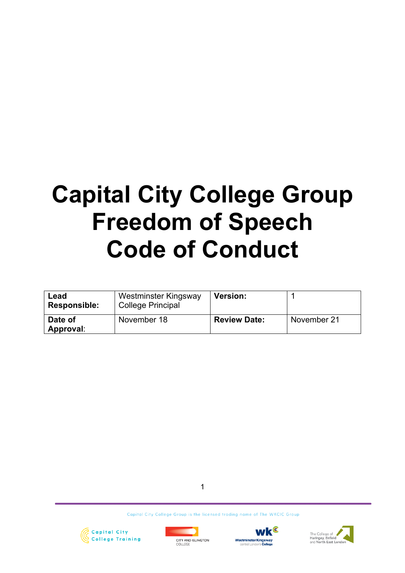# **Capital City College Group Freedom of Speech Code of Conduct**

| Lead<br><b>Responsible:</b> | Westminster Kingsway<br><b>College Principal</b> | <b>Version:</b>     |             |
|-----------------------------|--------------------------------------------------|---------------------|-------------|
| Date of<br>Approval:        | November 18                                      | <b>Review Date:</b> | November 21 |

1







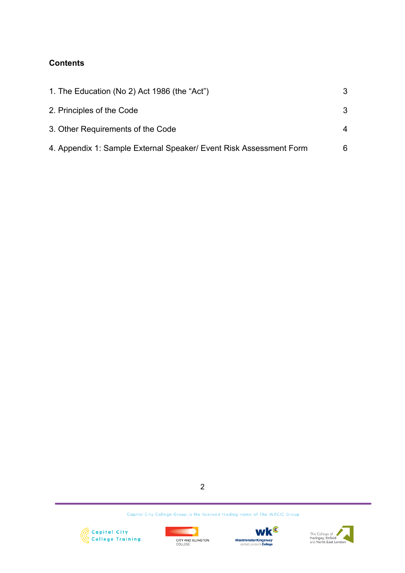# **Contents**

| 1. The Education (No 2) Act 1986 (the "Act")                       | 3 |
|--------------------------------------------------------------------|---|
| 2. Principles of the Code                                          | 3 |
| 3. Other Requirements of the Code                                  | 4 |
| 4. Appendix 1: Sample External Speaker/ Event Risk Assessment Form | 6 |

2







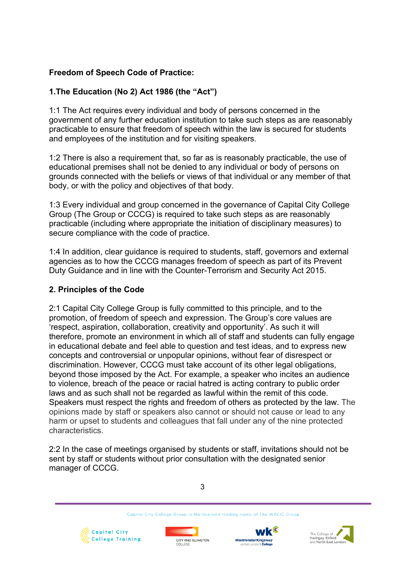# **Freedom of Speech Code of Practice:**

# **1.The Education (No 2) Act 1986 (the "Act")**

1:1 The Act requires every individual and body of persons concerned in the government of any further education institution to take such steps as are reasonably practicable to ensure that freedom of speech within the law is secured for students and employees of the institution and for visiting speakers.

1:2 There is also a requirement that, so far as is reasonably practicable, the use of educational premises shall not be denied to any individual or body of persons on grounds connected with the beliefs or views of that individual or any member of that body, or with the policy and objectives of that body.

1:3 Every individual and group concerned in the governance of Capital City College Group (The Group or CCCG) is required to take such steps as are reasonably practicable (including where appropriate the initiation of disciplinary measures) to secure compliance with the code of practice.

1:4 In addition, clear guidance is required to students, staff, governors and external agencies as to how the CCCG manages freedom of speech as part of its Prevent Duty Guidance and in line with the Counter-Terrorism and Security Act 2015.

# **2. Principles of the Code**

2:1 Capital City College Group is fully committed to this principle, and to the promotion, of freedom of speech and expression. The Group's core values are 'respect, aspiration, collaboration, creativity and opportunity'. As such it will therefore, promote an environment in which all of staff and students can fully engage in educational debate and feel able to question and test ideas, and to express new concepts and controversial or unpopular opinions, without fear of disrespect or discrimination. However, CCCG must take account of its other legal obligations, beyond those imposed by the Act. For example, a speaker who incites an audience to violence, breach of the peace or racial hatred is acting contrary to public order laws and as such shall not be regarded as lawful within the remit of this code. Speakers must respect the rights and freedom of others as protected by the law. The opinions made by staff or speakers also cannot or should not cause or lead to any harm or upset to students and colleagues that fall under any of the nine protected characteristics.

2:2 In the case of meetings organised by students or staff, invitations should not be sent by staff or students without prior consultation with the designated senior manager of CCCG.

3







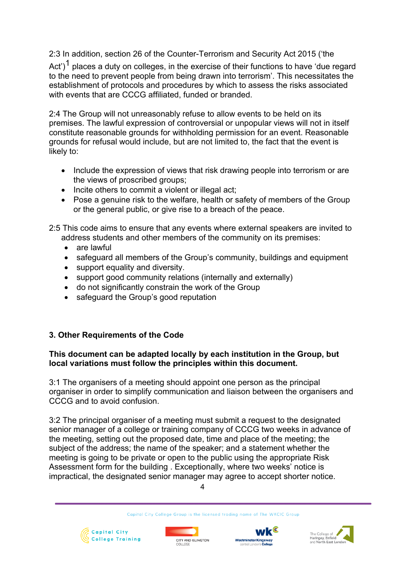2:3 In addition, section 26 of the Counter-Terrorism and Security Act 2015 ('the

Act')<sup>1</sup> places a duty on colleges, in the exercise of their functions to have 'due regard to the need to prevent people from being drawn into terrorism'. This necessitates the establishment of protocols and procedures by which to assess the risks associated with events that are CCCG affiliated, funded or branded.

2:4 The Group will not unreasonably refuse to allow events to be held on its premises. The lawful expression of controversial or unpopular views will not in itself constitute reasonable grounds for withholding permission for an event. Reasonable grounds for refusal would include, but are not limited to, the fact that the event is likely to:

- Include the expression of views that risk drawing people into terrorism or are the views of proscribed groups;
- Incite others to commit a violent or illegal act;
- Pose a genuine risk to the welfare, health or safety of members of the Group or the general public, or give rise to a breach of the peace.

2:5 This code aims to ensure that any events where external speakers are invited to address students and other members of the community on its premises:

- are lawful
- safeguard all members of the Group's community, buildings and equipment
- support equality and diversity.
- support good community relations (internally and externally)
- do not significantly constrain the work of the Group
- safeguard the Group's good reputation

# **3. Other Requirements of the Code**

### **This document can be adapted locally by each institution in the Group, but local variations must follow the principles within this document.**

3:1 The organisers of a meeting should appoint one person as the principal organiser in order to simplify communication and liaison between the organisers and CCCG and to avoid confusion.

3:2 The principal organiser of a meeting must submit a request to the designated senior manager of a college or training company of CCCG two weeks in advance of the meeting, setting out the proposed date, time and place of the meeting; the subject of the address; the name of the speaker; and a statement whether the meeting is going to be private or open to the public using the appropriate Risk Assessment form for the building . Exceptionally, where two weeks' notice is impractical, the designated senior manager may agree to accept shorter notice.







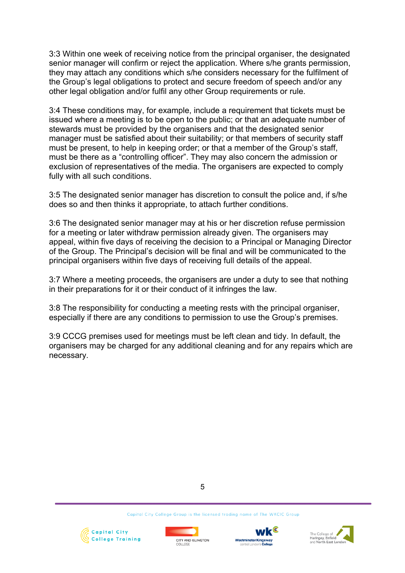3:3 Within one week of receiving notice from the principal organiser, the designated senior manager will confirm or reject the application. Where s/he grants permission, they may attach any conditions which s/he considers necessary for the fulfilment of the Group's legal obligations to protect and secure freedom of speech and/or any other legal obligation and/or fulfil any other Group requirements or rule.

3:4 These conditions may, for example, include a requirement that tickets must be issued where a meeting is to be open to the public; or that an adequate number of stewards must be provided by the organisers and that the designated senior manager must be satisfied about their suitability; or that members of security staff must be present, to help in keeping order; or that a member of the Group's staff, must be there as a "controlling officer". They may also concern the admission or exclusion of representatives of the media. The organisers are expected to comply fully with all such conditions.

3:5 The designated senior manager has discretion to consult the police and, if s/he does so and then thinks it appropriate, to attach further conditions.

3:6 The designated senior manager may at his or her discretion refuse permission for a meeting or later withdraw permission already given. The organisers may appeal, within five days of receiving the decision to a Principal or Managing Director of the Group. The Principal's decision will be final and will be communicated to the principal organisers within five days of receiving full details of the appeal.

3:7 Where a meeting proceeds, the organisers are under a duty to see that nothing in their preparations for it or their conduct of it infringes the law.

3:8 The responsibility for conducting a meeting rests with the principal organiser, especially if there are any conditions to permission to use the Group's premises.

3:9 CCCG premises used for meetings must be left clean and tidy. In default, the organisers may be charged for any additional cleaning and for any repairs which are necessary.

5







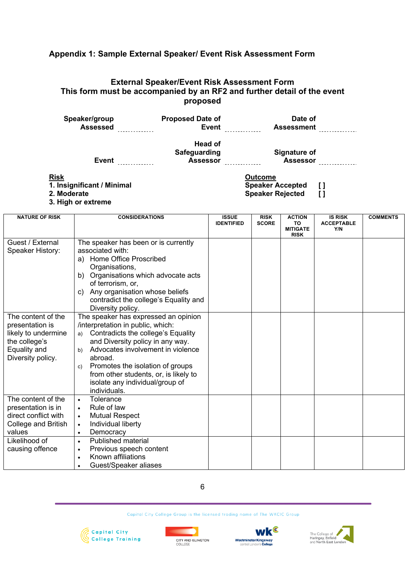# **Appendix 1: Sample External Speaker/ Event Risk Assessment Form**

# **External Speaker/Event Risk Assessment Form This form must be accompanied by an RF2 and further detail of the event proposed**

| Speaker/group<br><b>Assessed</b>                         | <b>Proposed Date of</b><br><b>Event</b>    | Date of<br><b>Assessment</b>                                               |
|----------------------------------------------------------|--------------------------------------------|----------------------------------------------------------------------------|
| Event                                                    | Head of<br>Safeguarding<br><b>Assessor</b> | Signature of<br><b>Assessor</b>                                            |
| <b>Risk</b><br>1. Insignificant / Minimal<br>2. Moderate |                                            | <b>Outcome</b><br><b>Speaker Accepted</b><br>IJ<br><b>Speaker Rejected</b> |

- 
- 
- **3. High or extreme**

| <b>NATURE OF RISK</b> | <b>CONSIDERATIONS</b>                    | <b>ISSUE</b><br><b>IDENTIFIED</b> | <b>RISK</b><br><b>SCORE</b> | <b>ACTION</b><br>TO.<br><b>MITIGATE</b> | <b>IS RISK</b><br><b>ACCEPTABLE</b><br>Y/N | <b>COMMENTS</b> |
|-----------------------|------------------------------------------|-----------------------------------|-----------------------------|-----------------------------------------|--------------------------------------------|-----------------|
|                       |                                          |                                   |                             | <b>RISK</b>                             |                                            |                 |
| Guest / External      | The speaker has been or is currently     |                                   |                             |                                         |                                            |                 |
| Speaker History:      | associated with:                         |                                   |                             |                                         |                                            |                 |
|                       | Home Office Proscribed<br>a)             |                                   |                             |                                         |                                            |                 |
|                       | Organisations,                           |                                   |                             |                                         |                                            |                 |
|                       | Organisations which advocate acts<br>b)  |                                   |                             |                                         |                                            |                 |
|                       | of terrorism, or,                        |                                   |                             |                                         |                                            |                 |
|                       | Any organisation whose beliefs<br>C)     |                                   |                             |                                         |                                            |                 |
|                       | contradict the college's Equality and    |                                   |                             |                                         |                                            |                 |
|                       | Diversity policy.                        |                                   |                             |                                         |                                            |                 |
| The content of the    | The speaker has expressed an opinion     |                                   |                             |                                         |                                            |                 |
| presentation is       | /interpretation in public, which:        |                                   |                             |                                         |                                            |                 |
| likely to undermine   | Contradicts the college's Equality<br>a) |                                   |                             |                                         |                                            |                 |
| the college's         | and Diversity policy in any way.         |                                   |                             |                                         |                                            |                 |
| Equality and          | Advocates involvement in violence<br>b)  |                                   |                             |                                         |                                            |                 |
| Diversity policy.     | abroad.                                  |                                   |                             |                                         |                                            |                 |
|                       | Promotes the isolation of groups<br>c)   |                                   |                             |                                         |                                            |                 |
|                       | from other students, or, is likely to    |                                   |                             |                                         |                                            |                 |
|                       | isolate any individual/group of          |                                   |                             |                                         |                                            |                 |
|                       | individuals.                             |                                   |                             |                                         |                                            |                 |
| The content of the    | Tolerance<br>$\bullet$                   |                                   |                             |                                         |                                            |                 |
| presentation is in    | Rule of law                              |                                   |                             |                                         |                                            |                 |
| direct conflict with  | <b>Mutual Respect</b><br>$\bullet$       |                                   |                             |                                         |                                            |                 |
| College and British   | Individual liberty<br>$\bullet$          |                                   |                             |                                         |                                            |                 |
| values                | Democracy<br>$\bullet$                   |                                   |                             |                                         |                                            |                 |
| Likelihood of         | Published material<br>$\bullet$          |                                   |                             |                                         |                                            |                 |
| causing offence       | Previous speech content                  |                                   |                             |                                         |                                            |                 |
|                       | Known affiliations<br>$\bullet$          |                                   |                             |                                         |                                            |                 |
|                       | Guest/Speaker aliases                    |                                   |                             |                                         |                                            |                 |

# 6